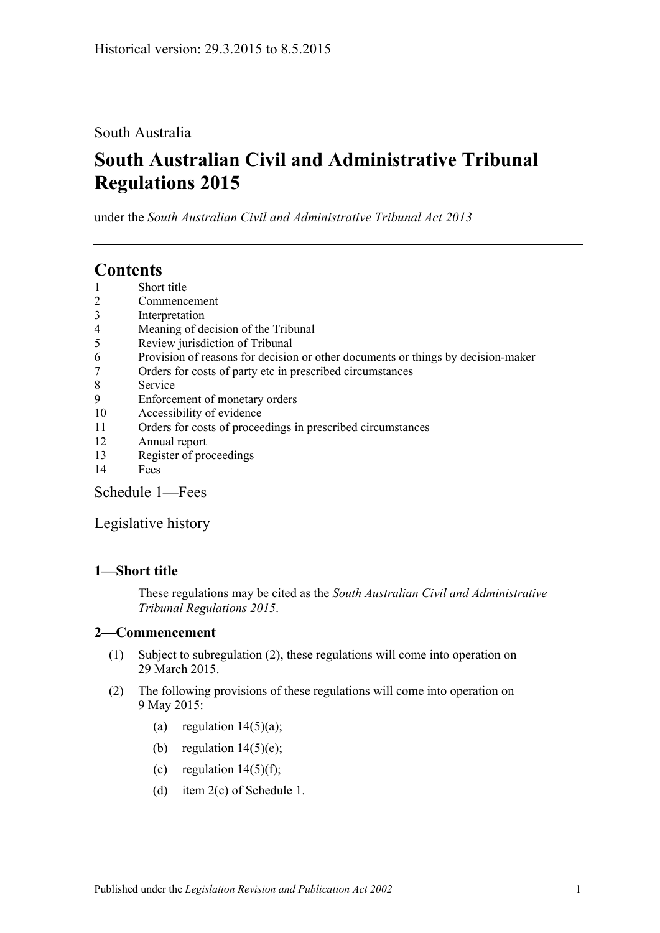### South Australia

# **South Australian Civil and Administrative Tribunal Regulations 2015**

under the *South Australian Civil and Administrative Tribunal Act 2013*

## **Contents**

- 1 [Short title](#page-0-0)
- 2 [Commencement](#page-0-1)
- 3 [Interpretation](#page-1-0)
- 4 [Meaning of decision of the Tribunal](#page-1-1)
- 5 [Review jurisdiction of Tribunal](#page-1-2)
- 6 [Provision of reasons for decision or other documents or things by decision-maker](#page-2-0)
- 7 [Orders for costs of party etc in prescribed circumstances](#page-2-1)
- 8 [Service](#page-3-0)
- 9 [Enforcement of monetary orders](#page-3-1)
- 10 [Accessibility of evidence](#page-4-0)
- 11 [Orders for costs of proceedings in prescribed circumstances](#page-4-1)
- 12 [Annual report](#page-5-0)
- 13 [Register of proceedings](#page-5-1)
- 14 [Fees](#page-6-0)

[Schedule](#page-8-0) 1—Fees

#### [Legislative history](#page-10-0)

#### <span id="page-0-0"></span>**1—Short title**

These regulations may be cited as the *South Australian Civil and Administrative Tribunal Regulations 2015*.

#### <span id="page-0-1"></span>**2—Commencement**

- (1) Subject to [subregulation](#page-0-2) (2), these regulations will come into operation on 29 March 2015.
- <span id="page-0-2"></span>(2) The following provisions of these regulations will come into operation on 9 May 2015:
	- (a) [regulation](#page-6-1)  $14(5)(a)$ ;
	- (b) [regulation](#page-7-0)  $14(5)(e)$ ;
	- (c) [regulation](#page-7-1)  $14(5)(f)$ ;
	- (d) item 2(c) of [Schedule](#page-8-0) 1.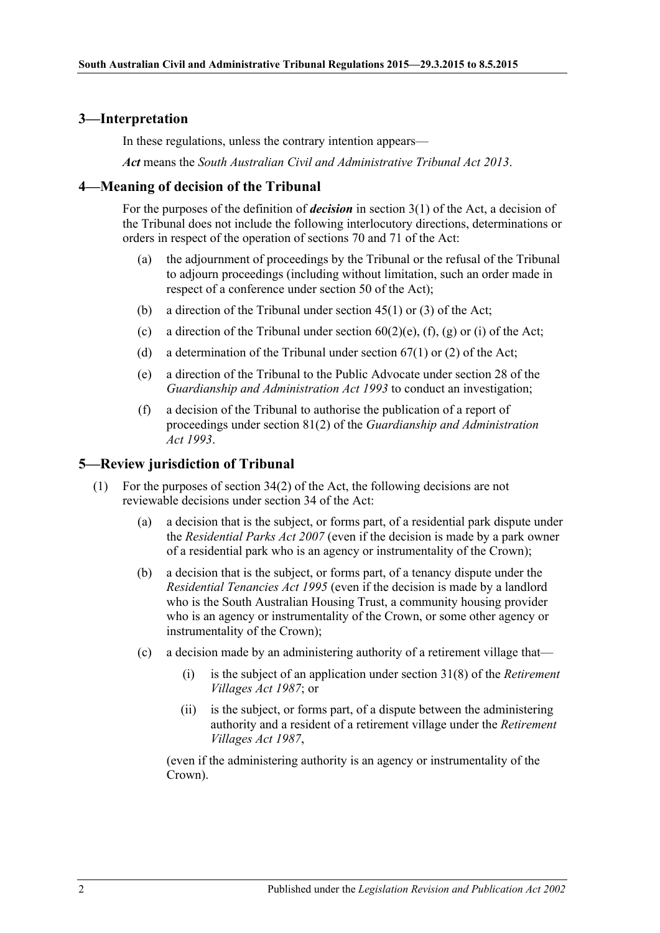#### <span id="page-1-0"></span>**3—Interpretation**

In these regulations, unless the contrary intention appears—

*Act* means the *[South Australian Civil and Administrative Tribunal Act](http://www.legislation.sa.gov.au/index.aspx?action=legref&type=act&legtitle=South%20Australian%20Civil%20and%20Administrative%20Tribunal%20Act%202013) 2013*.

#### <span id="page-1-1"></span>**4—Meaning of decision of the Tribunal**

For the purposes of the definition of *decision* in section 3(1) of the Act, a decision of the Tribunal does not include the following interlocutory directions, determinations or orders in respect of the operation of sections 70 and 71 of the Act:

- (a) the adjournment of proceedings by the Tribunal or the refusal of the Tribunal to adjourn proceedings (including without limitation, such an order made in respect of a conference under section 50 of the Act);
- (b) a direction of the Tribunal under section 45(1) or (3) of the Act;
- (c) a direction of the Tribunal under section  $60(2)(e)$ ,  $(f)$ ,  $(g)$  or  $(i)$  of the Act;
- (d) a determination of the Tribunal under section  $67(1)$  or (2) of the Act;
- (e) a direction of the Tribunal to the Public Advocate under section 28 of the *[Guardianship and Administration Act](http://www.legislation.sa.gov.au/index.aspx?action=legref&type=act&legtitle=Guardianship%20and%20Administration%20Act%201993) 1993* to conduct an investigation;
- (f) a decision of the Tribunal to authorise the publication of a report of proceedings under section 81(2) of the *[Guardianship and Administration](http://www.legislation.sa.gov.au/index.aspx?action=legref&type=act&legtitle=Guardianship%20and%20Administration%20Act%201993)  Act [1993](http://www.legislation.sa.gov.au/index.aspx?action=legref&type=act&legtitle=Guardianship%20and%20Administration%20Act%201993)*.

#### <span id="page-1-2"></span>**5—Review jurisdiction of Tribunal**

- (1) For the purposes of section 34(2) of the Act, the following decisions are not reviewable decisions under section 34 of the Act:
	- (a) a decision that is the subject, or forms part, of a residential park dispute under the *[Residential Parks Act](http://www.legislation.sa.gov.au/index.aspx?action=legref&type=act&legtitle=Residential%20Parks%20Act%202007) 2007* (even if the decision is made by a park owner of a residential park who is an agency or instrumentality of the Crown);
	- (b) a decision that is the subject, or forms part, of a tenancy dispute under the *[Residential Tenancies Act](http://www.legislation.sa.gov.au/index.aspx?action=legref&type=act&legtitle=Residential%20Tenancies%20Act%201995) 1995* (even if the decision is made by a landlord who is the South Australian Housing Trust, a community housing provider who is an agency or instrumentality of the Crown, or some other agency or instrumentality of the Crown);
	- (c) a decision made by an administering authority of a retirement village that—
		- (i) is the subject of an application under section 31(8) of the *[Retirement](http://www.legislation.sa.gov.au/index.aspx?action=legref&type=act&legtitle=Retirement%20Villages%20Act%201987)  [Villages Act](http://www.legislation.sa.gov.au/index.aspx?action=legref&type=act&legtitle=Retirement%20Villages%20Act%201987) 1987*; or
		- (ii) is the subject, or forms part, of a dispute between the administering authority and a resident of a retirement village under the *[Retirement](http://www.legislation.sa.gov.au/index.aspx?action=legref&type=act&legtitle=Retirement%20Villages%20Act%201987)  [Villages Act](http://www.legislation.sa.gov.au/index.aspx?action=legref&type=act&legtitle=Retirement%20Villages%20Act%201987) 1987*,

(even if the administering authority is an agency or instrumentality of the Crown).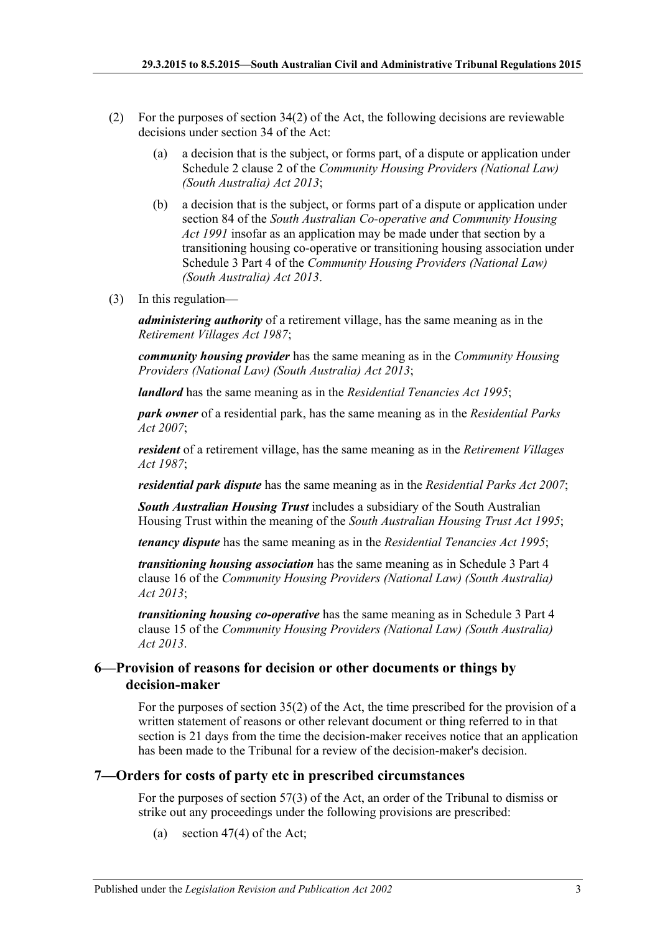- (2) For the purposes of section  $34(2)$  of the Act, the following decisions are reviewable decisions under section 34 of the Act:
	- (a) a decision that is the subject, or forms part, of a dispute or application under Schedule 2 clause 2 of the *[Community Housing Providers \(National Law\)](http://www.legislation.sa.gov.au/index.aspx?action=legref&type=act&legtitle=Community%20Housing%20Providers%20(National%20Law)%20(South%20Australia)%20Act%202013)  [\(South Australia\) Act](http://www.legislation.sa.gov.au/index.aspx?action=legref&type=act&legtitle=Community%20Housing%20Providers%20(National%20Law)%20(South%20Australia)%20Act%202013) 2013*;
	- (b) a decision that is the subject, or forms part of a dispute or application under section 84 of the *[South Australian Co-operative and Community Housing](http://www.legislation.sa.gov.au/index.aspx?action=legref&type=act&legtitle=South%20Australian%20Co-operative%20and%20Community%20Housing%20Act%201991)  Act [1991](http://www.legislation.sa.gov.au/index.aspx?action=legref&type=act&legtitle=South%20Australian%20Co-operative%20and%20Community%20Housing%20Act%201991)* insofar as an application may be made under that section by a transitioning housing co-operative or transitioning housing association under Schedule 3 Part 4 of the *[Community Housing Providers \(National Law\)](http://www.legislation.sa.gov.au/index.aspx?action=legref&type=act&legtitle=Community%20Housing%20Providers%20(National%20Law)%20(South%20Australia)%20Act%202013)  [\(South Australia\) Act](http://www.legislation.sa.gov.au/index.aspx?action=legref&type=act&legtitle=Community%20Housing%20Providers%20(National%20Law)%20(South%20Australia)%20Act%202013) 2013*.
- (3) In this regulation—

*administering authority* of a retirement village, has the same meaning as in the *[Retirement Villages Act](http://www.legislation.sa.gov.au/index.aspx?action=legref&type=act&legtitle=Retirement%20Villages%20Act%201987) 1987*;

*community housing provider* has the same meaning as in the *[Community Housing](http://www.legislation.sa.gov.au/index.aspx?action=legref&type=act&legtitle=Community%20Housing%20Providers%20(National%20Law)%20(South%20Australia)%20Act%202013)  [Providers \(National Law\) \(South Australia\) Act](http://www.legislation.sa.gov.au/index.aspx?action=legref&type=act&legtitle=Community%20Housing%20Providers%20(National%20Law)%20(South%20Australia)%20Act%202013) 2013*;

*landlord* has the same meaning as in the *[Residential Tenancies Act](http://www.legislation.sa.gov.au/index.aspx?action=legref&type=act&legtitle=Residential%20Tenancies%20Act%201995) 1995*;

*park owner* of a residential park, has the same meaning as in the *[Residential Parks](http://www.legislation.sa.gov.au/index.aspx?action=legref&type=act&legtitle=Residential%20Parks%20Act%202007)  Act [2007](http://www.legislation.sa.gov.au/index.aspx?action=legref&type=act&legtitle=Residential%20Parks%20Act%202007)*;

*resident* of a retirement village, has the same meaning as in the *[Retirement Villages](http://www.legislation.sa.gov.au/index.aspx?action=legref&type=act&legtitle=Retirement%20Villages%20Act%201987)  Act [1987](http://www.legislation.sa.gov.au/index.aspx?action=legref&type=act&legtitle=Retirement%20Villages%20Act%201987)*;

*residential park dispute* has the same meaning as in the *[Residential Parks Act](http://www.legislation.sa.gov.au/index.aspx?action=legref&type=act&legtitle=Residential%20Parks%20Act%202007) 2007*;

*South Australian Housing Trust* includes a subsidiary of the South Australian Housing Trust within the meaning of the *[South Australian Housing Trust Act](http://www.legislation.sa.gov.au/index.aspx?action=legref&type=act&legtitle=South%20Australian%20Housing%20Trust%20Act%201995) 1995*;

*tenancy dispute* has the same meaning as in the *[Residential Tenancies Act](http://www.legislation.sa.gov.au/index.aspx?action=legref&type=act&legtitle=Residential%20Tenancies%20Act%201995) 1995*;

*transitioning housing association* has the same meaning as in Schedule 3 Part 4 clause 16 of the *[Community Housing Providers \(National Law\) \(South Australia\)](http://www.legislation.sa.gov.au/index.aspx?action=legref&type=act&legtitle=Community%20Housing%20Providers%20(National%20Law)%20(South%20Australia)%20Act%202013)  Act [2013](http://www.legislation.sa.gov.au/index.aspx?action=legref&type=act&legtitle=Community%20Housing%20Providers%20(National%20Law)%20(South%20Australia)%20Act%202013)*;

*transitioning housing co-operative* has the same meaning as in Schedule 3 Part 4 clause 15 of the *[Community Housing Providers \(National Law\) \(South Australia\)](http://www.legislation.sa.gov.au/index.aspx?action=legref&type=act&legtitle=Community%20Housing%20Providers%20(National%20Law)%20(South%20Australia)%20Act%202013)  Act [2013](http://www.legislation.sa.gov.au/index.aspx?action=legref&type=act&legtitle=Community%20Housing%20Providers%20(National%20Law)%20(South%20Australia)%20Act%202013)*.

#### <span id="page-2-0"></span>**6—Provision of reasons for decision or other documents or things by decision-maker**

For the purposes of section 35(2) of the Act, the time prescribed for the provision of a written statement of reasons or other relevant document or thing referred to in that section is 21 days from the time the decision-maker receives notice that an application has been made to the Tribunal for a review of the decision-maker's decision.

#### <span id="page-2-1"></span>**7—Orders for costs of party etc in prescribed circumstances**

For the purposes of section 57(3) of the Act, an order of the Tribunal to dismiss or strike out any proceedings under the following provisions are prescribed:

(a) section 47(4) of the Act;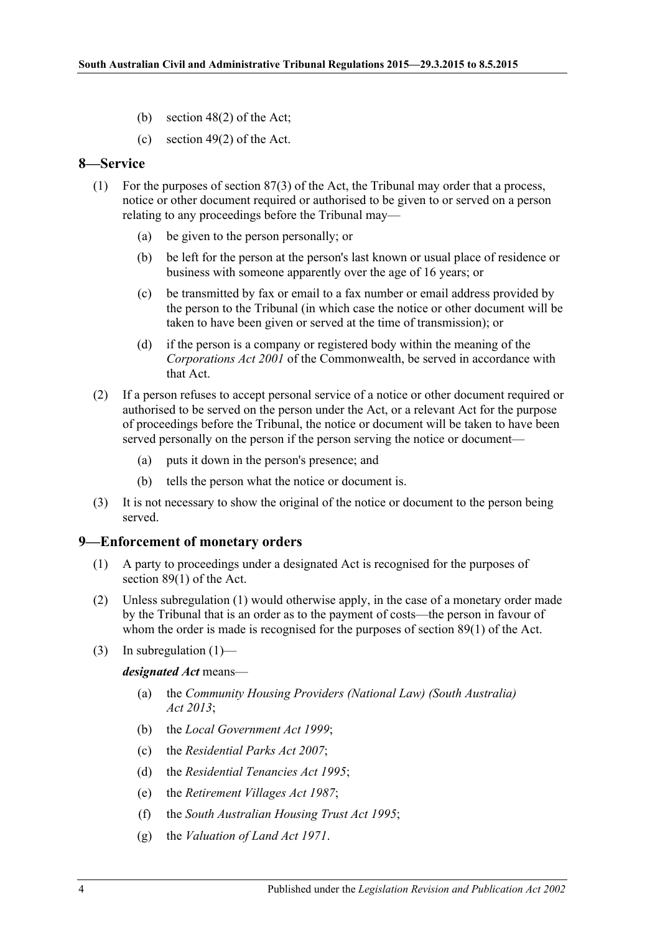- (b) section 48(2) of the Act;
- (c) section 49(2) of the Act.

#### <span id="page-3-0"></span>**8—Service**

- (1) For the purposes of section 87(3) of the Act, the Tribunal may order that a process, notice or other document required or authorised to be given to or served on a person relating to any proceedings before the Tribunal may—
	- (a) be given to the person personally; or
	- (b) be left for the person at the person's last known or usual place of residence or business with someone apparently over the age of 16 years; or
	- (c) be transmitted by fax or email to a fax number or email address provided by the person to the Tribunal (in which case the notice or other document will be taken to have been given or served at the time of transmission); or
	- (d) if the person is a company or registered body within the meaning of the *Corporations Act 2001* of the Commonwealth, be served in accordance with that Act.
- (2) If a person refuses to accept personal service of a notice or other document required or authorised to be served on the person under the Act, or a relevant Act for the purpose of proceedings before the Tribunal, the notice or document will be taken to have been served personally on the person if the person serving the notice or document—
	- (a) puts it down in the person's presence; and
	- (b) tells the person what the notice or document is.
- (3) It is not necessary to show the original of the notice or document to the person being served.

#### <span id="page-3-2"></span><span id="page-3-1"></span>**9—Enforcement of monetary orders**

- (1) A party to proceedings under a designated Act is recognised for the purposes of section 89(1) of the Act.
- (2) Unless [subregulation](#page-3-2) (1) would otherwise apply, in the case of a monetary order made by the Tribunal that is an order as to the payment of costs—the person in favour of whom the order is made is recognised for the purposes of section 89(1) of the Act.
- (3) In [subregulation](#page-3-2)  $(1)$ —

*designated Act* means—

- (a) the *[Community Housing Providers \(National Law\) \(South Australia\)](http://www.legislation.sa.gov.au/index.aspx?action=legref&type=act&legtitle=Community%20Housing%20Providers%20(National%20Law)%20(South%20Australia)%20Act%202013)  Act [2013](http://www.legislation.sa.gov.au/index.aspx?action=legref&type=act&legtitle=Community%20Housing%20Providers%20(National%20Law)%20(South%20Australia)%20Act%202013)*;
- (b) the *[Local Government Act](http://www.legislation.sa.gov.au/index.aspx?action=legref&type=act&legtitle=Local%20Government%20Act%201999) 1999*;
- (c) the *[Residential Parks Act](http://www.legislation.sa.gov.au/index.aspx?action=legref&type=act&legtitle=Residential%20Parks%20Act%202007) 2007*;
- (d) the *[Residential Tenancies Act](http://www.legislation.sa.gov.au/index.aspx?action=legref&type=act&legtitle=Residential%20Tenancies%20Act%201995) 1995*;
- (e) the *[Retirement Villages Act](http://www.legislation.sa.gov.au/index.aspx?action=legref&type=act&legtitle=Retirement%20Villages%20Act%201987) 1987*;
- (f) the *[South Australian Housing Trust Act](http://www.legislation.sa.gov.au/index.aspx?action=legref&type=act&legtitle=South%20Australian%20Housing%20Trust%20Act%201995) 1995*;
- (g) the *[Valuation of Land Act](http://www.legislation.sa.gov.au/index.aspx?action=legref&type=act&legtitle=Valuation%20of%20Land%20Act%201971) 1971*.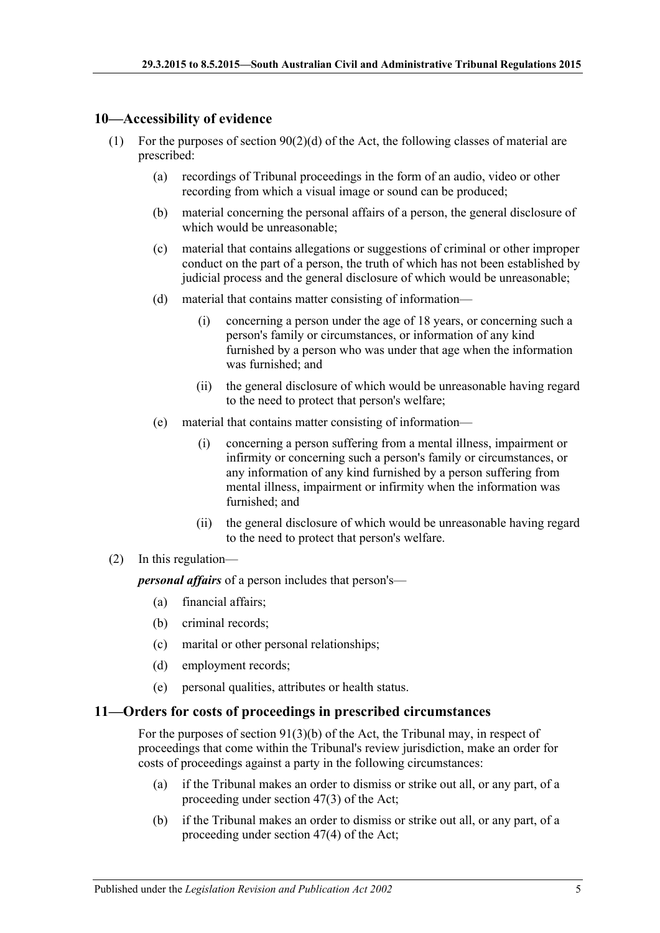#### <span id="page-4-0"></span>**10—Accessibility of evidence**

- (1) For the purposes of section  $90(2)(d)$  of the Act, the following classes of material are prescribed:
	- (a) recordings of Tribunal proceedings in the form of an audio, video or other recording from which a visual image or sound can be produced;
	- (b) material concerning the personal affairs of a person, the general disclosure of which would be unreasonable;
	- (c) material that contains allegations or suggestions of criminal or other improper conduct on the part of a person, the truth of which has not been established by judicial process and the general disclosure of which would be unreasonable;
	- (d) material that contains matter consisting of information—
		- (i) concerning a person under the age of 18 years, or concerning such a person's family or circumstances, or information of any kind furnished by a person who was under that age when the information was furnished; and
		- (ii) the general disclosure of which would be unreasonable having regard to the need to protect that person's welfare;
	- (e) material that contains matter consisting of information—
		- (i) concerning a person suffering from a mental illness, impairment or infirmity or concerning such a person's family or circumstances, or any information of any kind furnished by a person suffering from mental illness, impairment or infirmity when the information was furnished; and
		- (ii) the general disclosure of which would be unreasonable having regard to the need to protect that person's welfare.

#### (2) In this regulation—

*personal affairs* of a person includes that person's—

- (a) financial affairs;
- (b) criminal records;
- (c) marital or other personal relationships;
- (d) employment records;
- (e) personal qualities, attributes or health status.

#### <span id="page-4-1"></span>**11—Orders for costs of proceedings in prescribed circumstances**

For the purposes of section 91(3)(b) of the Act, the Tribunal may, in respect of proceedings that come within the Tribunal's review jurisdiction, make an order for costs of proceedings against a party in the following circumstances:

- (a) if the Tribunal makes an order to dismiss or strike out all, or any part, of a proceeding under section 47(3) of the Act;
- (b) if the Tribunal makes an order to dismiss or strike out all, or any part, of a proceeding under section 47(4) of the Act;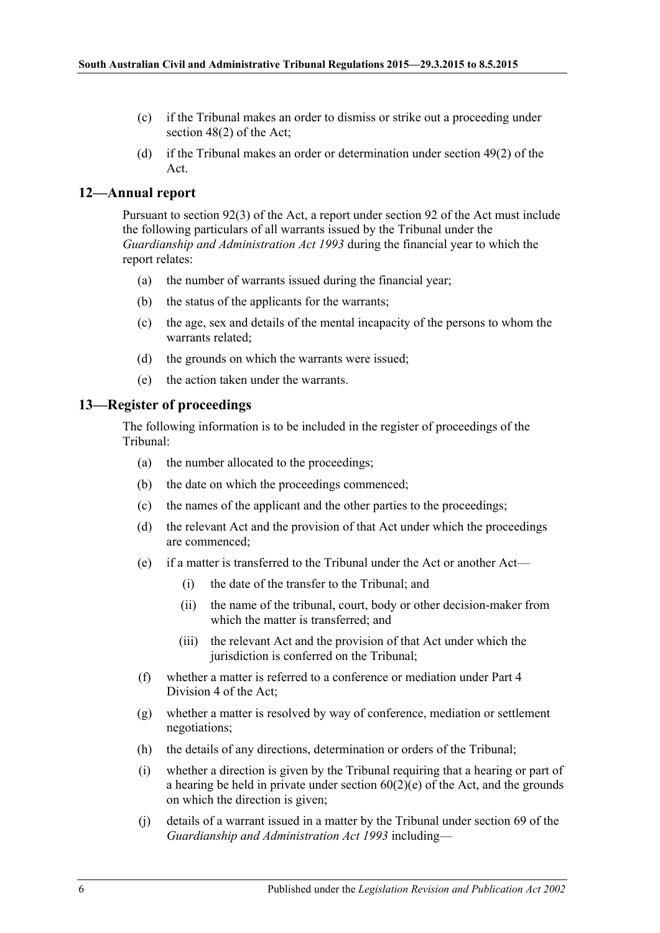- (c) if the Tribunal makes an order to dismiss or strike out a proceeding under section 48(2) of the Act;
- (d) if the Tribunal makes an order or determination under section 49(2) of the Act.

#### <span id="page-5-0"></span>**12—Annual report**

Pursuant to section 92(3) of the Act, a report under section 92 of the Act must include the following particulars of all warrants issued by the Tribunal under the *[Guardianship and Administration Act](http://www.legislation.sa.gov.au/index.aspx?action=legref&type=act&legtitle=Guardianship%20and%20Administration%20Act%201993) 1993* during the financial year to which the report relates:

- (a) the number of warrants issued during the financial year;
- (b) the status of the applicants for the warrants;
- (c) the age, sex and details of the mental incapacity of the persons to whom the warrants related;
- (d) the grounds on which the warrants were issued;
- (e) the action taken under the warrants.

#### <span id="page-5-1"></span>**13—Register of proceedings**

The following information is to be included in the register of proceedings of the Tribunal:

- (a) the number allocated to the proceedings;
- (b) the date on which the proceedings commenced;
- (c) the names of the applicant and the other parties to the proceedings;
- (d) the relevant Act and the provision of that Act under which the proceedings are commenced;
- (e) if a matter is transferred to the Tribunal under the Act or another Act—
	- (i) the date of the transfer to the Tribunal; and
	- (ii) the name of the tribunal, court, body or other decision-maker from which the matter is transferred; and
	- (iii) the relevant Act and the provision of that Act under which the jurisdiction is conferred on the Tribunal:
- (f) whether a matter is referred to a conference or mediation under Part 4 Division 4 of the Act;
- (g) whether a matter is resolved by way of conference, mediation or settlement negotiations;
- (h) the details of any directions, determination or orders of the Tribunal;
- (i) whether a direction is given by the Tribunal requiring that a hearing or part of a hearing be held in private under section  $60(2)(e)$  of the Act, and the grounds on which the direction is given;
- (j) details of a warrant issued in a matter by the Tribunal under section 69 of the *[Guardianship and Administration Act](http://www.legislation.sa.gov.au/index.aspx?action=legref&type=act&legtitle=Guardianship%20and%20Administration%20Act%201993) 1993* including—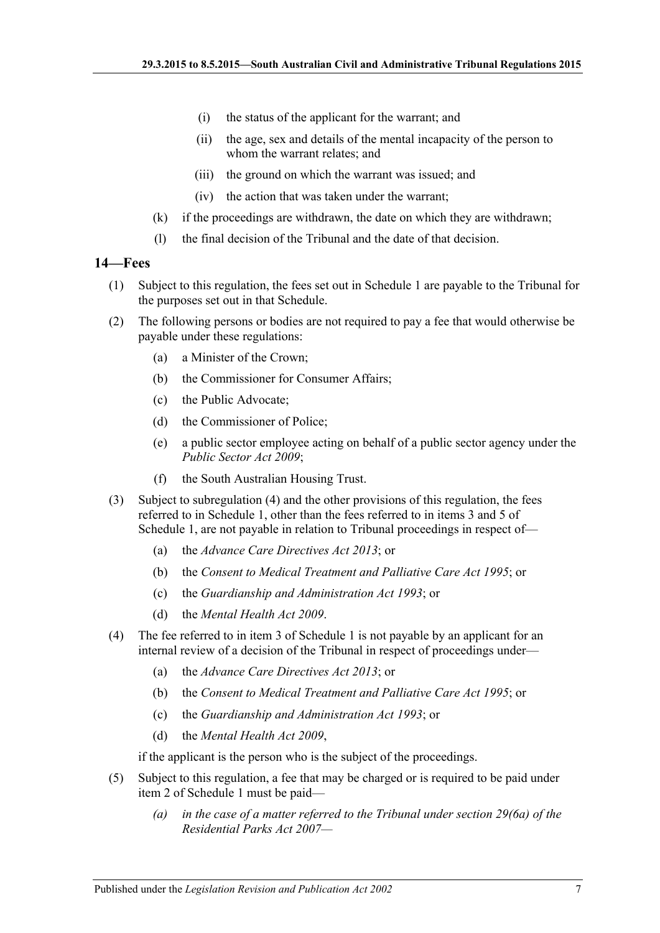- (i) the status of the applicant for the warrant; and
- (ii) the age, sex and details of the mental incapacity of the person to whom the warrant relates; and
- (iii) the ground on which the warrant was issued; and
- (iv) the action that was taken under the warrant;
- (k) if the proceedings are withdrawn, the date on which they are withdrawn;
- (l) the final decision of the Tribunal and the date of that decision.

#### <span id="page-6-0"></span>**14—Fees**

- (1) Subject to this regulation, the fees set out in [Schedule](#page-8-0) 1 are payable to the Tribunal for the purposes set out in that Schedule.
- (2) The following persons or bodies are not required to pay a fee that would otherwise be payable under these regulations:
	- (a) a Minister of the Crown;
	- (b) the Commissioner for Consumer Affairs;
	- (c) the Public Advocate;
	- (d) the Commissioner of Police;
	- (e) a public sector employee acting on behalf of a public sector agency under the *[Public Sector Act](http://www.legislation.sa.gov.au/index.aspx?action=legref&type=act&legtitle=Public%20Sector%20Act%202009) 2009*;
	- (f) the South Australian Housing Trust.
- <span id="page-6-3"></span>(3) Subject to [subregulation](#page-6-2) (4) and the other provisions of this regulation, the fees referred to in [Schedule](#page-8-0) 1, other than the fees referred to in items 3 and 5 of [Schedule](#page-8-0) 1, are not payable in relation to Tribunal proceedings in respect of—
	- (a) the *[Advance Care Directives Act](http://www.legislation.sa.gov.au/index.aspx?action=legref&type=act&legtitle=Advance%20Care%20Directives%20Act%202013) 2013*; or
	- (b) the *[Consent to Medical Treatment and Palliative Care Act](http://www.legislation.sa.gov.au/index.aspx?action=legref&type=act&legtitle=Consent%20to%20Medical%20Treatment%20and%20Palliative%20Care%20Act%201995) 1995*; or
	- (c) the *[Guardianship and Administration Act](http://www.legislation.sa.gov.au/index.aspx?action=legref&type=act&legtitle=Guardianship%20and%20Administration%20Act%201993) 1993*; or
	- (d) the *[Mental Health Act](http://www.legislation.sa.gov.au/index.aspx?action=legref&type=act&legtitle=Mental%20Health%20Act%202009) 2009*.
- <span id="page-6-2"></span>(4) The fee referred to in item 3 of [Schedule](#page-8-0) 1 is not payable by an applicant for an internal review of a decision of the Tribunal in respect of proceedings under—
	- (a) the *[Advance Care Directives Act](http://www.legislation.sa.gov.au/index.aspx?action=legref&type=act&legtitle=Advance%20Care%20Directives%20Act%202013) 2013*; or
	- (b) the *[Consent to Medical Treatment and Palliative Care Act](http://www.legislation.sa.gov.au/index.aspx?action=legref&type=act&legtitle=Consent%20to%20Medical%20Treatment%20and%20Palliative%20Care%20Act%201995) 1995*; or
	- (c) the *[Guardianship and Administration Act](http://www.legislation.sa.gov.au/index.aspx?action=legref&type=act&legtitle=Guardianship%20and%20Administration%20Act%201993) 1993*; or
	- (d) the *[Mental Health Act](http://www.legislation.sa.gov.au/index.aspx?action=legref&type=act&legtitle=Mental%20Health%20Act%202009) 2009*,

if the applicant is the person who is the subject of the proceedings.

- <span id="page-6-1"></span>(5) Subject to this regulation, a fee that may be charged or is required to be paid under item 2 of [Schedule](#page-8-0) 1 must be paid—
	- *(a) in the case of a matter referred to the Tribunal under section 29(6a) of the [Residential Parks Act](http://www.legislation.sa.gov.au/index.aspx?action=legref&type=act&legtitle=Residential%20Parks%20Act%202007) 2007—*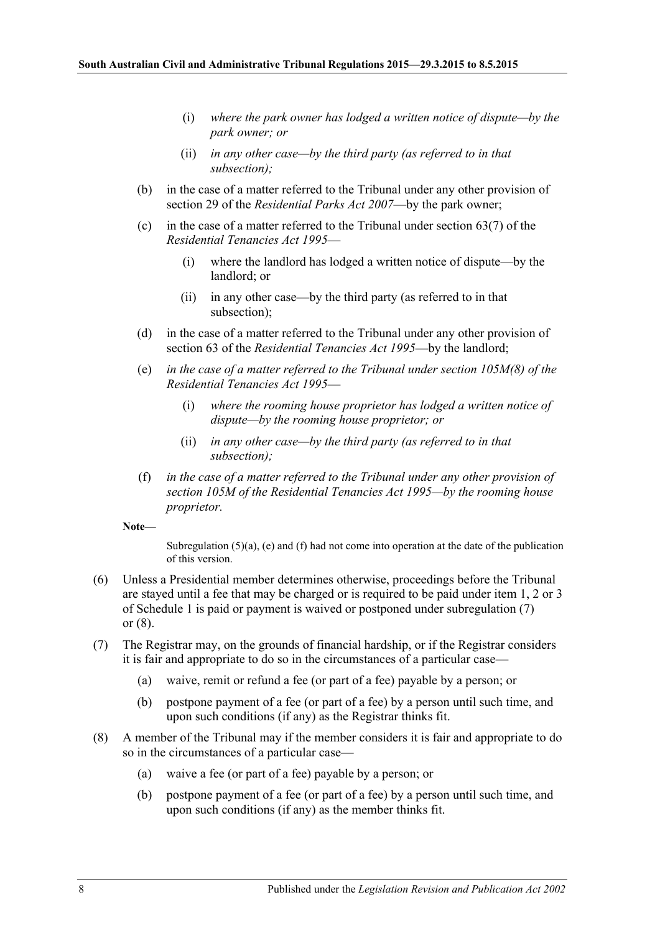- (i) *where the park owner has lodged a written notice of dispute—by the park owner; or*
- (ii) *in any other case—by the third party (as referred to in that subsection);*
- (b) in the case of a matter referred to the Tribunal under any other provision of section 29 of the *[Residential Parks Act](http://www.legislation.sa.gov.au/index.aspx?action=legref&type=act&legtitle=Residential%20Parks%20Act%202007) 2007*—by the park owner;
- (c) in the case of a matter referred to the Tribunal under section  $63(7)$  of the *[Residential Tenancies Act](http://www.legislation.sa.gov.au/index.aspx?action=legref&type=act&legtitle=Residential%20Tenancies%20Act%201995) 1995*—
	- (i) where the landlord has lodged a written notice of dispute—by the landlord; or
	- (ii) in any other case—by the third party (as referred to in that subsection);
- (d) in the case of a matter referred to the Tribunal under any other provision of section 63 of the *[Residential Tenancies Act](http://www.legislation.sa.gov.au/index.aspx?action=legref&type=act&legtitle=Residential%20Tenancies%20Act%201995) 1995*—by the landlord;
- <span id="page-7-0"></span>(e) *in the case of a matter referred to the Tribunal under section 105M(8) of the [Residential Tenancies Act](http://www.legislation.sa.gov.au/index.aspx?action=legref&type=act&legtitle=Residential%20Tenancies%20Act%201995) 1995*—
	- (i) *where the rooming house proprietor has lodged a written notice of dispute—by the rooming house proprietor; or*
	- (ii) *in any other case—by the third party (as referred to in that subsection);*
- <span id="page-7-1"></span>(f) *in the case of a matter referred to the Tribunal under any other provision of section 105M of the [Residential Tenancies Act](http://www.legislation.sa.gov.au/index.aspx?action=legref&type=act&legtitle=Residential%20Tenancies%20Act%201995) 1995—by the rooming house proprietor.*

**Note—**

Subregulation  $(5)(a)$ ,  $(e)$  and  $(f)$  had not come into operation at the date of the publication of this version.

- (6) Unless a Presidential member determines otherwise, proceedings before the Tribunal are stayed until a fee that may be charged or is required to be paid under item 1, 2 or 3 of [Schedule](#page-8-0) 1 is paid or payment is waived or postponed under [subregulation](#page-7-2) (7) or [\(8\).](#page-7-3)
- <span id="page-7-2"></span>(7) The Registrar may, on the grounds of financial hardship, or if the Registrar considers it is fair and appropriate to do so in the circumstances of a particular case—
	- (a) waive, remit or refund a fee (or part of a fee) payable by a person; or
	- (b) postpone payment of a fee (or part of a fee) by a person until such time, and upon such conditions (if any) as the Registrar thinks fit.
- <span id="page-7-3"></span>(8) A member of the Tribunal may if the member considers it is fair and appropriate to do so in the circumstances of a particular case—
	- (a) waive a fee (or part of a fee) payable by a person; or
	- (b) postpone payment of a fee (or part of a fee) by a person until such time, and upon such conditions (if any) as the member thinks fit.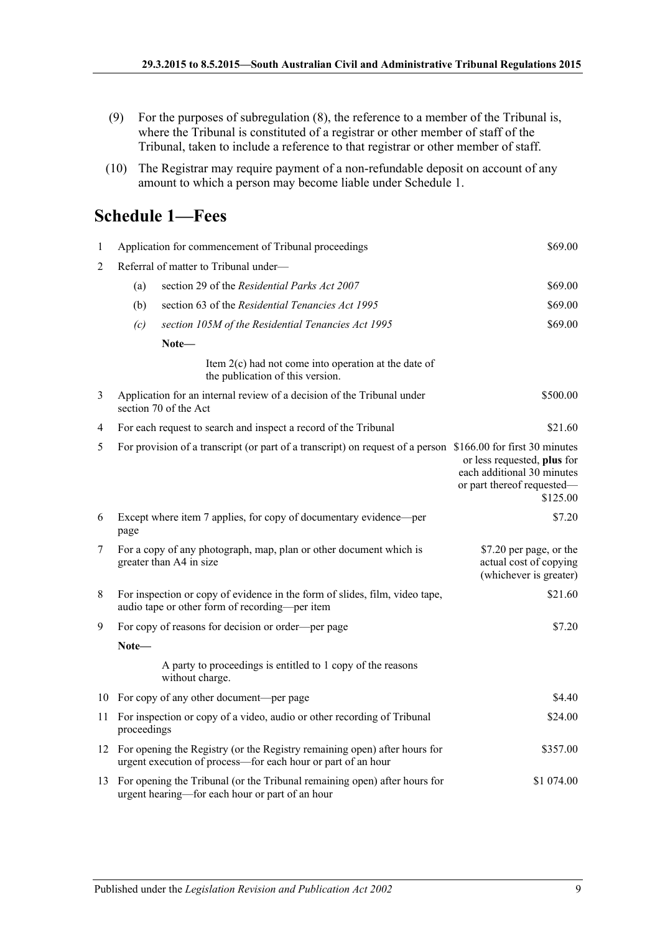- (9) For the purposes of [subregulation](#page-7-3) (8), the reference to a member of the Tribunal is, where the Tribunal is constituted of a registrar or other member of staff of the Tribunal, taken to include a reference to that registrar or other member of staff.
- (10) The Registrar may require payment of a non-refundable deposit on account of any amount to which a person may become liable under [Schedule](#page-8-0) 1.

## <span id="page-8-0"></span>**Schedule 1—Fees**

| $\mathbf{1}$ | \$69.00<br>Application for commencement of Tribunal proceedings                                 |                                                                                                                                              |                                                                                                     |
|--------------|-------------------------------------------------------------------------------------------------|----------------------------------------------------------------------------------------------------------------------------------------------|-----------------------------------------------------------------------------------------------------|
| 2            |                                                                                                 | Referral of matter to Tribunal under-                                                                                                        |                                                                                                     |
|              | (a)                                                                                             | section 29 of the Residential Parks Act 2007                                                                                                 | \$69.00                                                                                             |
|              | (b)                                                                                             | section 63 of the Residential Tenancies Act 1995                                                                                             | \$69.00                                                                                             |
|              | (c)                                                                                             | section 105M of the Residential Tenancies Act 1995                                                                                           | \$69.00                                                                                             |
|              |                                                                                                 | Note—                                                                                                                                        |                                                                                                     |
|              |                                                                                                 | Item $2(c)$ had not come into operation at the date of<br>the publication of this version.                                                   |                                                                                                     |
| 3            | Application for an internal review of a decision of the Tribunal under<br>section 70 of the Act |                                                                                                                                              | \$500.00                                                                                            |
| 4            |                                                                                                 | For each request to search and inspect a record of the Tribunal                                                                              | \$21.60                                                                                             |
| 5            |                                                                                                 | For provision of a transcript (or part of a transcript) on request of a person \$166.00 for first 30 minutes                                 | or less requested, plus for<br>each additional 30 minutes<br>or part thereof requested-<br>\$125.00 |
| 6            | Except where item 7 applies, for copy of documentary evidence—per<br>page                       |                                                                                                                                              | \$7.20                                                                                              |
| 7            |                                                                                                 | For a copy of any photograph, map, plan or other document which is<br>greater than A4 in size                                                | \$7.20 per page, or the<br>actual cost of copying<br>(whichever is greater)                         |
| 8            |                                                                                                 | For inspection or copy of evidence in the form of slides, film, video tape,<br>audio tape or other form of recording—per item                | \$21.60                                                                                             |
| 9            |                                                                                                 | For copy of reasons for decision or order—per page                                                                                           | \$7.20                                                                                              |
|              | Note-                                                                                           |                                                                                                                                              |                                                                                                     |
|              |                                                                                                 | A party to proceedings is entitled to 1 copy of the reasons<br>without charge.                                                               |                                                                                                     |
|              |                                                                                                 | 10 For copy of any other document—per page                                                                                                   | \$4.40                                                                                              |
| 11           | proceedings                                                                                     | For inspection or copy of a video, audio or other recording of Tribunal                                                                      | \$24.00                                                                                             |
|              |                                                                                                 | 12 For opening the Registry (or the Registry remaining open) after hours for<br>urgent execution of process-for each hour or part of an hour | \$357.00                                                                                            |
|              |                                                                                                 | 13 For opening the Tribunal (or the Tribunal remaining open) after hours for<br>urgent hearing—for each hour or part of an hour              | \$1 074.00                                                                                          |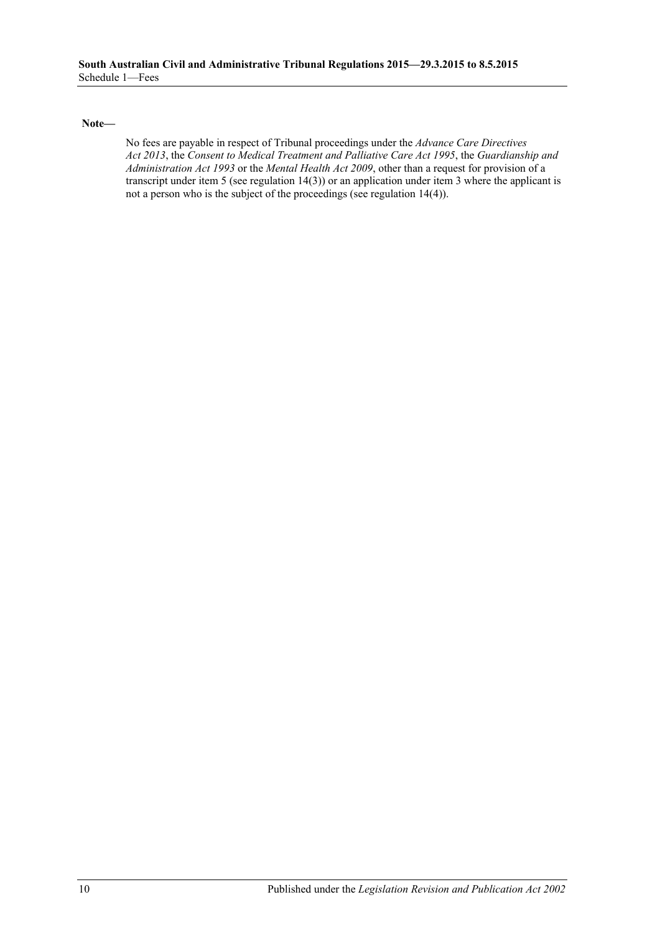**Note—**

No fees are payable in respect of Tribunal proceedings under the *[Advance Care Directives](http://www.legislation.sa.gov.au/index.aspx?action=legref&type=act&legtitle=Advance%20Care%20Directives%20Act%202013)  Act [2013](http://www.legislation.sa.gov.au/index.aspx?action=legref&type=act&legtitle=Advance%20Care%20Directives%20Act%202013)*, the *[Consent to Medical Treatment and Palliative Care Act](http://www.legislation.sa.gov.au/index.aspx?action=legref&type=act&legtitle=Consent%20to%20Medical%20Treatment%20and%20Palliative%20Care%20Act%201995) 1995*, the *[Guardianship and](http://www.legislation.sa.gov.au/index.aspx?action=legref&type=act&legtitle=Guardianship%20and%20Administration%20Act%201993)  [Administration Act](http://www.legislation.sa.gov.au/index.aspx?action=legref&type=act&legtitle=Guardianship%20and%20Administration%20Act%201993) 1993* or the *[Mental Health Act](http://www.legislation.sa.gov.au/index.aspx?action=legref&type=act&legtitle=Mental%20Health%20Act%202009) 2009*, other than a request for provision of a transcript under item 5 (se[e regulation](#page-6-3) 14(3)) or an application under item 3 where the applicant is not a person who is the subject of the proceedings (see [regulation](#page-6-2) 14(4)).